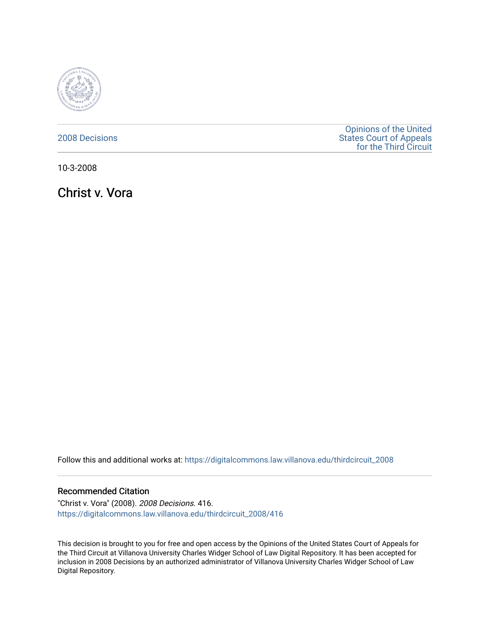

### [2008 Decisions](https://digitalcommons.law.villanova.edu/thirdcircuit_2008)

[Opinions of the United](https://digitalcommons.law.villanova.edu/thirdcircuit)  [States Court of Appeals](https://digitalcommons.law.villanova.edu/thirdcircuit)  [for the Third Circuit](https://digitalcommons.law.villanova.edu/thirdcircuit) 

10-3-2008

Christ v. Vora

Follow this and additional works at: [https://digitalcommons.law.villanova.edu/thirdcircuit\\_2008](https://digitalcommons.law.villanova.edu/thirdcircuit_2008?utm_source=digitalcommons.law.villanova.edu%2Fthirdcircuit_2008%2F416&utm_medium=PDF&utm_campaign=PDFCoverPages) 

### Recommended Citation

"Christ v. Vora" (2008). 2008 Decisions. 416. [https://digitalcommons.law.villanova.edu/thirdcircuit\\_2008/416](https://digitalcommons.law.villanova.edu/thirdcircuit_2008/416?utm_source=digitalcommons.law.villanova.edu%2Fthirdcircuit_2008%2F416&utm_medium=PDF&utm_campaign=PDFCoverPages)

This decision is brought to you for free and open access by the Opinions of the United States Court of Appeals for the Third Circuit at Villanova University Charles Widger School of Law Digital Repository. It has been accepted for inclusion in 2008 Decisions by an authorized administrator of Villanova University Charles Widger School of Law Digital Repository.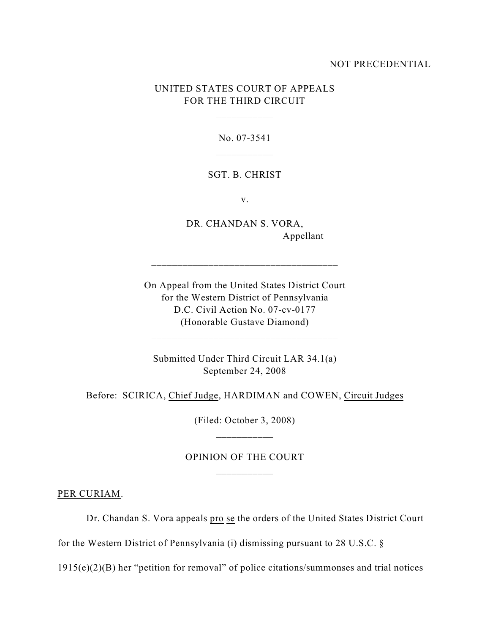### NOT PRECEDENTIAL

## UNITED STATES COURT OF APPEALS FOR THE THIRD CIRCUIT

\_\_\_\_\_\_\_\_\_\_\_

No. 07-3541

#### SGT. B. CHRIST

v.

DR. CHANDAN S. VORA, Appellant

On Appeal from the United States District Court for the Western District of Pennsylvania D.C. Civil Action No. 07-cv-0177 (Honorable Gustave Diamond)

\_\_\_\_\_\_\_\_\_\_\_\_\_\_\_\_\_\_\_\_\_\_\_\_\_\_\_\_\_\_\_\_\_\_\_\_

\_\_\_\_\_\_\_\_\_\_\_\_\_\_\_\_\_\_\_\_\_\_\_\_\_\_\_\_\_\_\_\_\_\_\_\_

Submitted Under Third Circuit LAR 34.1(a) September 24, 2008

Before: SCIRICA, Chief Judge, HARDIMAN and COWEN, Circuit Judges

(Filed: October 3, 2008) \_\_\_\_\_\_\_\_\_\_\_

# OPINION OF THE COURT \_\_\_\_\_\_\_\_\_\_\_

PER CURIAM.

Dr. Chandan S. Vora appeals pro se the orders of the United States District Court

for the Western District of Pennsylvania (i) dismissing pursuant to 28 U.S.C. §

1915(e)(2)(B) her "petition for removal" of police citations/summonses and trial notices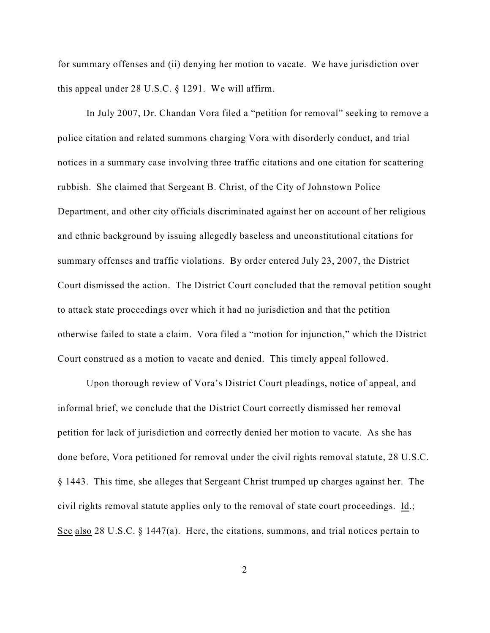for summary offenses and (ii) denying her motion to vacate. We have jurisdiction over this appeal under 28 U.S.C. § 1291. We will affirm.

In July 2007, Dr. Chandan Vora filed a "petition for removal" seeking to remove a police citation and related summons charging Vora with disorderly conduct, and trial notices in a summary case involving three traffic citations and one citation for scattering rubbish. She claimed that Sergeant B. Christ, of the City of Johnstown Police Department, and other city officials discriminated against her on account of her religious and ethnic background by issuing allegedly baseless and unconstitutional citations for summary offenses and traffic violations. By order entered July 23, 2007, the District Court dismissed the action. The District Court concluded that the removal petition sought to attack state proceedings over which it had no jurisdiction and that the petition otherwise failed to state a claim. Vora filed a "motion for injunction," which the District Court construed as a motion to vacate and denied. This timely appeal followed.

Upon thorough review of Vora's District Court pleadings, notice of appeal, and informal brief, we conclude that the District Court correctly dismissed her removal petition for lack of jurisdiction and correctly denied her motion to vacate. As she has done before, Vora petitioned for removal under the civil rights removal statute, 28 U.S.C. § 1443. This time, she alleges that Sergeant Christ trumped up charges against her. The civil rights removal statute applies only to the removal of state court proceedings. Id.; See also 28 U.S.C. § 1447(a). Here, the citations, summons, and trial notices pertain to